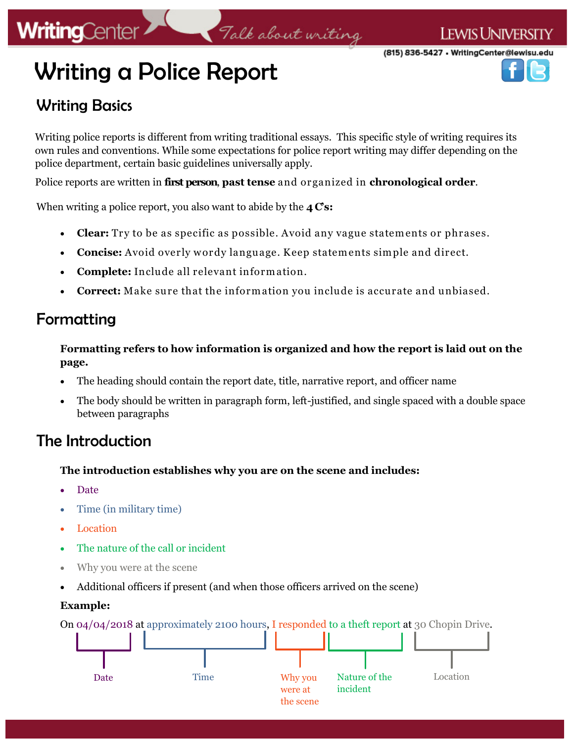# **WritingCenter**

(815) 836-5427 • WritingCenter@lewisu.edu

# Writing a Police Report

# Writing Basics

Writing police reports is different from writing traditional essays. This specific style of writing requires its own rules and conventions. While some expectations for police report writing may differ depending on the police department, certain basic guidelines universally apply.

Talk about writing

Police reports are written in **first person**, **past tense** and organized in **chronological order**.

When writing a police report, you also want to abide by the **4 C's:** 

- **Clear:** Try to be as specific as possible. Avoid any vague statements or phrases.
- Concise: Avoid overly wordy language. Keep statements simple and direct.
- **Complete:** Include all relevant inform ation.
- **Correct:** Make sure that the inform ation you include is accurate and unbiased.

### Formatting

**Formatting refers to how information is organized and how the report is laid out on the page.**

- The heading should contain the report date, title, narrative report, and officer name
- The body should be written in paragraph form, left-justified, and single spaced with a double space between paragraphs

### The Introduction

#### **The introduction establishes why you are on the scene and includes:**

- Date
- Time (in military time)
- Location
- The nature of the call or incident
- Why you were at the scene
- Additional officers if present (and when those officers arrived on the scene)

#### **Example:**